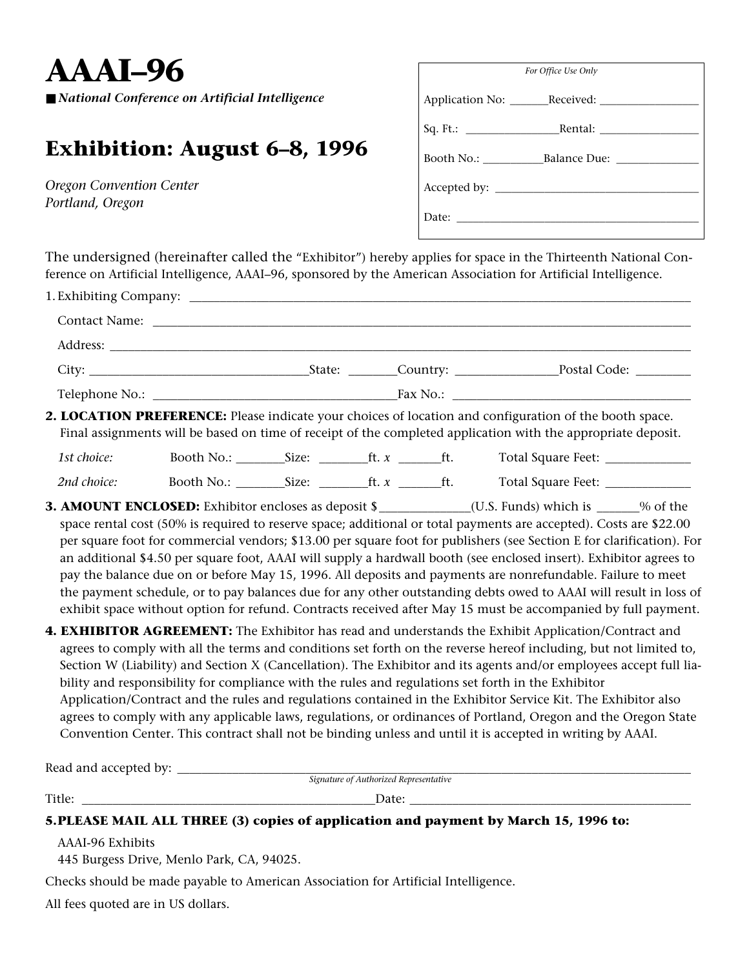**AAAI–96**

■ *National Conference on Artificial Intelligence* 

## **Exhibition: August 6–8, 1996**

*Oregon Convention Center Portland, Oregon*

| For Office Use Only     |  |  |  |  |
|-------------------------|--|--|--|--|
|                         |  |  |  |  |
|                         |  |  |  |  |
| Booth No.: Balance Due: |  |  |  |  |
|                         |  |  |  |  |
|                         |  |  |  |  |

The undersigned (hereinafter called the "Exhibitor") hereby applies for space in the Thirteenth National Conference on Artificial Intelligence, AAAI–96, sponsored by the American Association for Artificial Intelligence.

|             | Address: <u>New York: Address: New York: New York: New York: New York: New York: New York: New York: New York: New York: New York: New York: New York: New York: New York: New York: New York: New York: New York: New York: New</u> |  |                                                                                                                                                                                                                                                                                                                                                                                                                                                                                                                                                                                                                                                                                                                                                                                                                                      |
|-------------|--------------------------------------------------------------------------------------------------------------------------------------------------------------------------------------------------------------------------------------|--|--------------------------------------------------------------------------------------------------------------------------------------------------------------------------------------------------------------------------------------------------------------------------------------------------------------------------------------------------------------------------------------------------------------------------------------------------------------------------------------------------------------------------------------------------------------------------------------------------------------------------------------------------------------------------------------------------------------------------------------------------------------------------------------------------------------------------------------|
|             |                                                                                                                                                                                                                                      |  |                                                                                                                                                                                                                                                                                                                                                                                                                                                                                                                                                                                                                                                                                                                                                                                                                                      |
|             |                                                                                                                                                                                                                                      |  |                                                                                                                                                                                                                                                                                                                                                                                                                                                                                                                                                                                                                                                                                                                                                                                                                                      |
|             |                                                                                                                                                                                                                                      |  | 2. LOCATION PREFERENCE: Please indicate your choices of location and configuration of the booth space.<br>Final assignments will be based on time of receipt of the completed application with the appropriate deposit.                                                                                                                                                                                                                                                                                                                                                                                                                                                                                                                                                                                                              |
| 1st choice: |                                                                                                                                                                                                                                      |  | Booth No.: Size: Size: ft. x frace and Square Feet: 1                                                                                                                                                                                                                                                                                                                                                                                                                                                                                                                                                                                                                                                                                                                                                                                |
| 2nd choice: |                                                                                                                                                                                                                                      |  |                                                                                                                                                                                                                                                                                                                                                                                                                                                                                                                                                                                                                                                                                                                                                                                                                                      |
|             |                                                                                                                                                                                                                                      |  | <b>3. AMOUNT ENCLOSED:</b> Exhibitor encloses as deposit \$_____________(U.S. Funds) which is _____% of the<br>space rental cost (50% is required to reserve space; additional or total payments are accepted). Costs are \$22.00<br>per square foot for commercial vendors; \$13.00 per square foot for publishers (see Section E for clarification). For<br>an additional \$4.50 per square foot, AAAI will supply a hardwall booth (see enclosed insert). Exhibitor agrees to<br>pay the balance due on or before May 15, 1996. All deposits and payments are nonrefundable. Failure to meet<br>the payment schedule, or to pay balances due for any other outstanding debts owed to AAAI will result in loss of<br>exhibit space without option for refund. Contracts received after May 15 must be accompanied by full payment. |
|             |                                                                                                                                                                                                                                      |  | 4. EXHIBITOR AGREEMENT: The Exhibitor has read and understands the Exhibit Application/Contract and<br>agrees to comply with all the terms and conditions set forth on the reverse hereof including, but not limited to,<br>Section W (Liability) and Section X (Cancellation). The Exhibitor and its agents and/or employees accept full lia-<br>bility and responsibility for compliance with the rules and regulations set forth in the Exhibitor<br>Application/Contract and the rules and regulations contained in the Exhibitor Service Kit. The Exhibitor also<br>$\mathcal{L}$ and $\mathcal{L}$ is the set of $\mathcal{L}$ is the set of $\mathcal{L}$ is the set of $\mathcal{L}$ is the set of $\mathcal{L}$                                                                                                             |

agrees to comply with any applicable laws, regulations, or ordinances of Portland, Oregon and the Oregon State Convention Center. This contract shall not be binding unless and until it is accepted in writing by AAAI.

| Read and accepted by:                                                                |                                        |  |  |  |  |  |
|--------------------------------------------------------------------------------------|----------------------------------------|--|--|--|--|--|
|                                                                                      | Signature of Authorized Representative |  |  |  |  |  |
| Title:                                                                               | Date:                                  |  |  |  |  |  |
| 5. PLEASE MAIL ALL THREE (3) copies of application and payment by March 15, 1996 to: |                                        |  |  |  |  |  |

AAAI-96 Exhibits

445 Burgess Drive, Menlo Park, CA, 94025.

Checks should be made payable to American Association for Artificial Intelligence.

All fees quoted are in US dollars.